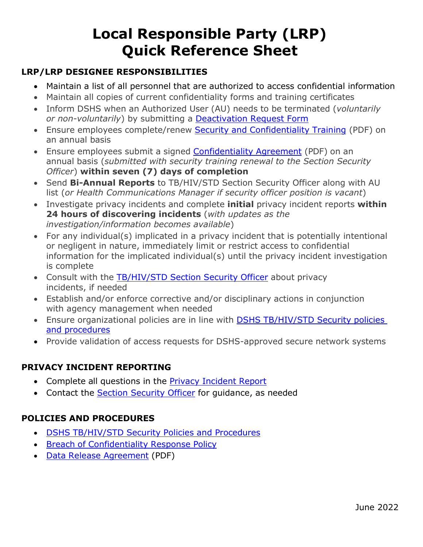# **Local Responsible Party (LRP) Quick Reference Sheet**

## **LRP/LRP DESIGNEE RESPONSIBILITIES**

- Maintain a list of all personnel that are authorized to access confidential information
- Maintain all copies of current confidentiality forms and training certificates
- Inform DSHS when an Authorized User (AU) needs to be terminated (*voluntarily or non-voluntarily*) by submitting a **Deactivation Request Form**
- Ensure employees complete/renew Security and [Confidentiality](https://www.dshs.texas.gov/thsvh/tct/files/SecurityCourseInstructions.pdf) Training (PDF) on an annual basis
- Ensure employees submit a signed [Confidentiality](https://www.dshs.texas.gov/thsvh/files/ConfidentialityAgreement.pdf) Agreement (PDF) on an annual basis (*submitted with security training renewal to the Section Security Officer*) **within seven (7) days of completion**
- Send **Bi-Annual Reports** to TB/HIV/STD Section Security Officer along with AU list (*or Health Communications Manager if security officer position is vacant*)
- Investigate privacy incidents and complete **initial** privacy incident reports **within 24 hours of discovering incidents** (*with updates as the investigation/information becomes available*)
- For any individual(s) implicated in a privacy incident that is potentially intentional or negligent in nature, immediately limit or restrict access to confidential information for the implicated individual(s) until the privacy incident investigation is complete
- Consult with the [TB/HIV/STD](mailto:TBHIVSTD.AccountRequests@dshs.texas.gov) Section Security Officer about privacy incidents, if needed
- Establish and/or enforce corrective and/or disciplinary actions in conjunction with agency management when needed
- Ensure organizational policies are in line with DSHS [TB/HIV/STD](https://www.dshs.texas.gov/hivstd/policy/security.shtm) Security policies [and procedures](https://www.dshs.texas.gov/hivstd/policy/security.shtm)
- Provide validation of access requests for DSHS-approved secure network systems

## **PRIVACY INCIDENT REPORTING**

- Complete all questions in the **Privacy [Incident](https://forms.office.com/Pages/ResponsePage.aspx?id=Mnf5m7mCm0mxaqk-jr1Ta8pPRdvSh7ZEjdx2IJWdrCxUN1o0T1hLMUhJWTBEWFVCMERSTVBWRzJMSi4u) Report**
- Contact the Section [Security](mailto:TBHIVSTD.AccountRequests@dshs.texas.gov) Officer for quidance, as needed

### **POLICIES AND PROCEDURES**

- DSHS [TB/HIV/STD](https://www.dshs.texas.gov/hivstd/policy/security.shtm) Security Policies and Procedures
- Breach of [Confidentiality](https://www.dshs.texas.gov/hivstd/policy/policies/2011-04.shtm) Response Policy
- Data Release [Agreement](https://www.dshs.texas.gov/hivstd/policy/policies/302002.pdf) (PDF)